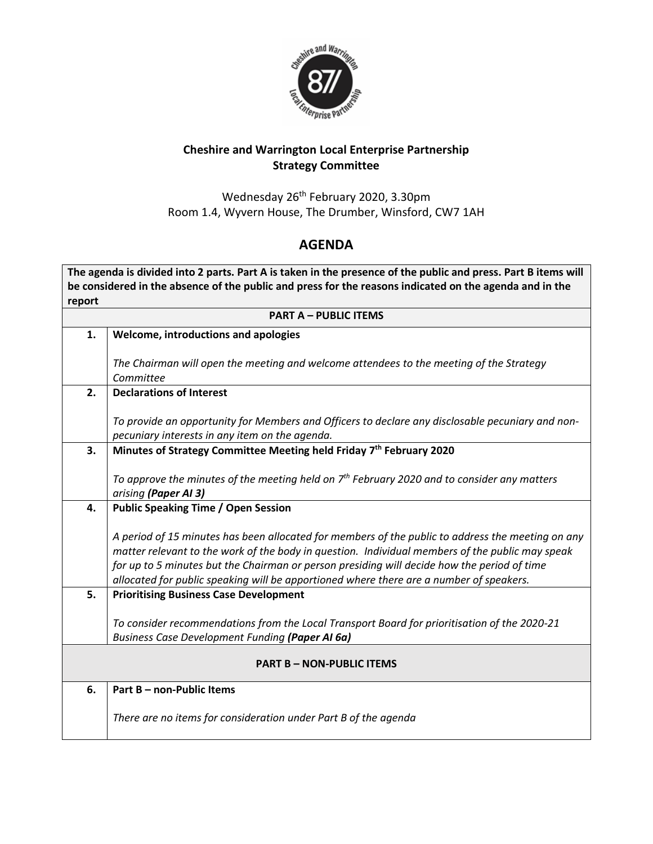

## **Cheshire and Warrington Local Enterprise Partnership Strategy Committee**

Wednesday 26<sup>th</sup> February 2020, 3.30pm Room 1.4, Wyvern House, The Drumber, Winsford, CW7 1AH

## **AGENDA**

**The agenda is divided into 2 parts. Part A is taken in the presence of the public and press. Part B items will be considered in the absence of the public and press for the reasons indicated on the agenda and in the report**

| <b>PART A - PUBLIC ITEMS</b>     |                                                                                                      |
|----------------------------------|------------------------------------------------------------------------------------------------------|
| 1.                               | Welcome, introductions and apologies                                                                 |
|                                  |                                                                                                      |
|                                  | The Chairman will open the meeting and welcome attendees to the meeting of the Strategy<br>Committee |
| 2.                               | <b>Declarations of Interest</b>                                                                      |
|                                  |                                                                                                      |
|                                  | To provide an opportunity for Members and Officers to declare any disclosable pecuniary and non-     |
|                                  | pecuniary interests in any item on the agenda.                                                       |
| 3.                               | Minutes of Strategy Committee Meeting held Friday 7th February 2020                                  |
|                                  |                                                                                                      |
|                                  | To approve the minutes of the meeting held on $7th$ February 2020 and to consider any matters        |
| 4.                               | arising (Paper AI 3)<br><b>Public Speaking Time / Open Session</b>                                   |
|                                  |                                                                                                      |
|                                  | A period of 15 minutes has been allocated for members of the public to address the meeting on any    |
|                                  | matter relevant to the work of the body in question. Individual members of the public may speak      |
|                                  | for up to 5 minutes but the Chairman or person presiding will decide how the period of time          |
|                                  | allocated for public speaking will be apportioned where there are a number of speakers.              |
| 5.                               | <b>Prioritising Business Case Development</b>                                                        |
|                                  | To consider recommendations from the Local Transport Board for prioritisation of the 2020-21         |
|                                  | <b>Business Case Development Funding (Paper AI 6a)</b>                                               |
|                                  |                                                                                                      |
| <b>PART B - NON-PUBLIC ITEMS</b> |                                                                                                      |
| 6.                               | Part B - non-Public Items                                                                            |
|                                  |                                                                                                      |
|                                  | There are no items for consideration under Part B of the agenda                                      |
|                                  |                                                                                                      |